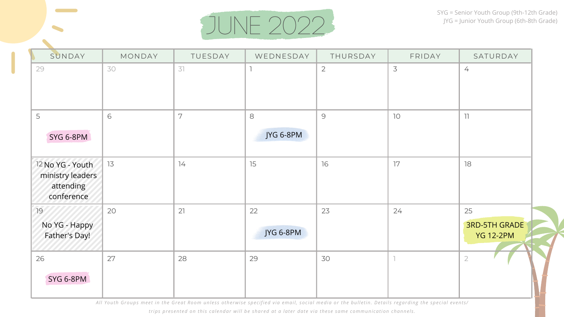

| SUNDAY                                                          | MONDAY | TUESDAY | WEDNESDAY       | THURSDAY       | FRIDAY | SATURDAY                                       |
|-----------------------------------------------------------------|--------|---------|-----------------|----------------|--------|------------------------------------------------|
| 29                                                              | 30     | 31      |                 | $\overline{2}$ | 3      | $\frac{1}{\sqrt{2}}$                           |
| 5<br>SYG 6-8PM                                                  | 6      | 7       | 8<br>JYG 6-8PM  | 9              | 10     | 11                                             |
| 12 No YG - Youth<br>ministry leaders<br>attending<br>conference | 13     | 14      | 15              | 16             | 17     | 18                                             |
| 19<br>No YG - Happy<br>Father's Day!                            | 20     | 21      | 22<br>JYG 6-8PM | 23             | 24     | 25<br><b>3RD-5TH GRADE</b><br><b>YG 12-2PM</b> |
| 26<br>SYG 6-8PM                                                 | 27     | 28      | 29              | 30             |        | $\overline{2}$                                 |

All Youth Groups meet in the Great Room unless otherwise specified via email, social media or the bulletin. Details regarding the special events/

trips presented on this calendar will be shared at a later date via these same communication channels.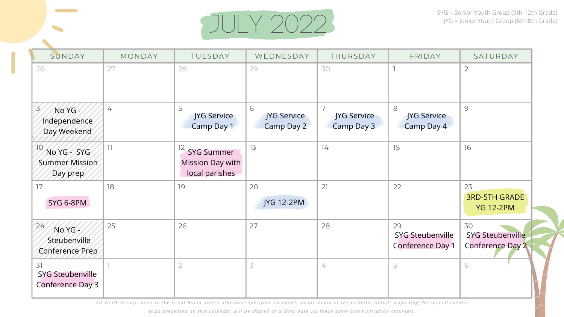

| SUNDAY                                                   | MONDAY                   | TUESDAY                                                                      | WEDNESDAY                             | THURSDAY                       | FRIDAY                                            | SATURDAY                                          |
|----------------------------------------------------------|--------------------------|------------------------------------------------------------------------------|---------------------------------------|--------------------------------|---------------------------------------------------|---------------------------------------------------|
| 26                                                       | 27                       | 28                                                                           | 29                                    | 30                             |                                                   | $\overline{2}$                                    |
| $\overline{3}$<br>No YG -<br>Independence<br>Day Weekend | 4                        | 5<br>JYG Service<br><b>Camp Day 1</b>                                        | 6<br><b>JYG Service</b><br>Camp Day 2 | 7<br>JYG Service<br>Camp Day 3 | 8<br>JYG Service<br>Camp Day 4                    | 9                                                 |
| 10<br>No YG - SYG<br><b>Summer Mission</b><br>Day prep   | $\overline{\phantom{a}}$ | $12 \overline{)}$<br><b>SYG Summer</b><br>Mission Day with<br>local parishes | 13                                    | 14                             | 15                                                | 16                                                |
| 17<br>SYG 6-8PM                                          | 18                       | 19                                                                           | 20<br>JYG 12-2PM                      | 21                             | 22                                                | 23<br><b>3RD-5TH GRADE</b><br><b>YG 12-2PM</b>    |
| 24<br>No YG -<br>Steubenville<br><b>Conference Prep</b>  | 25                       | 26                                                                           | 27                                    | 28                             | 29<br><b>SYG Steubenville</b><br>Conference Day 1 | 30<br><b>SYG Steubenville</b><br>Conference Day 2 |
| 31<br><b>SYG Steubenville</b><br>Conference Day 3        |                          | $\overline{2}$                                                               | $\overline{3}$                        | 4                              | 5                                                 | 6                                                 |

All Youth Groups meet in the Great Room unless otherwise specified via email, social media or the bulletin. Details regarding the special events/

trips presented on this calendar will be shared at a later date via these same communication channels.